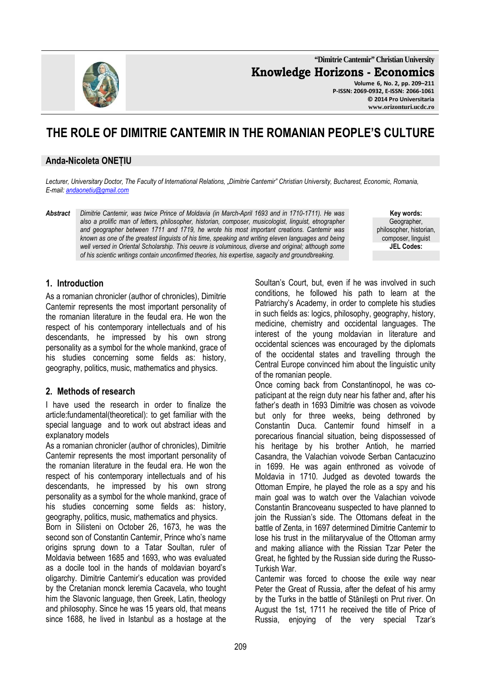**"Dimitrie Cantemir" Christian University Knowledge Horizons - Economics Volume 6, No. 2, pp. 209–211 P-ISSN: 2069-0932, E-ISSN: 2066-1061**

# **THE ROLE OF DIMITRIE CANTEMIR IN THE ROMANIAN PEOPLE'S CULTURE**

#### **Anda-Nicoleta ONEȚIU**

*Lecturer, Universitary Doctor, The Faculty of International Relations, "Dimitrie Cantemir" Christian University, Bucharest, Economic, Romania, E-mail: andaonetiu@gmail.com* 

*Abstract Dimitrie Cantemir, was twice Prince of Moldavia (in March-April 1693 and in 1710-1711). He was also a prolific man of letters, philosopher, historian, composer, musicologist, linguist, etnographer and geographer between 1711 and 1719, he wrote his most important creations. Cantemir was known as one of the greatest linguists of his time, speaking and writing eleven languages and being well versed in Oriental Scholarship. This oeuvre is voluminous, diverse and original; although some of his scientic writings contain unconfirmed theories, his expertise, sagacity and groundbreaking.* 

**Key words:** Geographer, philosopher, historian, composer, linguist **JEL Codes:**

### **1. Introduction**

As a romanian chronicler (author of chronicles), Dimitrie Cantemir represents the most important personality of the romanian literature in the feudal era. He won the respect of his contemporary intellectuals and of his descendants, he impressed by his own strong personality as a symbol for the whole mankind, grace of his studies concerning some fields as: history, geography, politics, music, mathematics and physics.

#### **2. Methods of research**

I have used the research in order to finalize the article:fundamental(theoretical): to get familiar with the special language and to work out abstract ideas and explanatory models

As a romanian chronicler (author of chronicles), Dimitrie Cantemir represents the most important personality of the romanian literature in the feudal era. He won the respect of his contemporary intellectuals and of his descendants, he impressed by his own strong personality as a symbol for the whole mankind, grace of his studies concerning some fields as: history, geography, politics, music, mathematics and physics.

Born in Silisteni on October 26, 1673, he was the second son of Constantin Cantemir, Prince who's name origins sprung down to a Tatar Soultan, ruler of Moldavia between 1685 and 1693, who was evaluated as a docile tool in the hands of moldavian boyard's oligarchy. Dimitrie Cantemir's education was provided by the Cretanian monck Ieremia Cacavela, who tought him the Slavonic language, then Greek, Latin, theology and philosophy. Since he was 15 years old, that means since 1688, he lived in Istanbul as a hostage at the Soultan's Court, but, even if he was involved in such conditions, he followed his path to learn at the Patriarchy's Academy, in order to complete his studies in such fields as: logics, philosophy, geography, history, medicine, chemistry and occidental languages. The interest of the young moldavian in literature and occidental sciences was encouraged by the diplomats of the occidental states and travelling through the Central Europe convinced him about the linguistic unity of the romanian people.

Once coming back from Constantinopol, he was copaticipant at the reign duty near his father and, after his father's death in 1693 Dimitrie was chosen as voivode but only for three weeks, being dethroned by Constantin Duca. Cantemir found himself in a porecarious financial situation, being dispossessed of his heritage by his brother Antioh, he married Casandra, the Valachian voivode Serban Cantacuzino in 1699. He was again enthroned as voivode of Moldavia in 1710. Judged as devoted towards the Ottoman Empire, he played the role as a spy and his main goal was to watch over the Valachian voivode Constantin Brancoveanu suspected to have planned to join the Russian's side. The Ottomans defeat in the battle of Zenta, in 1697 determined Dimitrie Cantemir to lose his trust in the militaryvalue of the Ottoman army and making alliance with the Rissian Tzar Peter the Great, he fighted by the Russian side during the Russo-Turkish War.

Cantemir was forced to choose the exile way near Peter the Great of Russia, after the defeat of his army by the Turks in the battle of Stănileşti on Prut river. On August the 1st, 1711 he received the title of Price of Russia, enjoying of the very special Tzar's

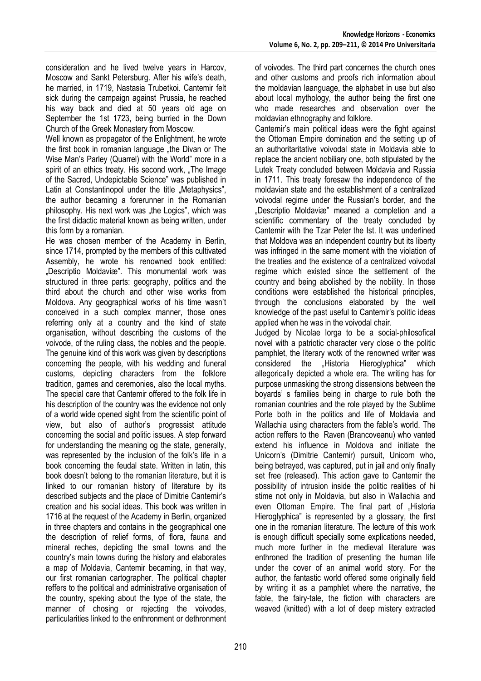consideration and he lived twelve years in Harcov, Moscow and Sankt Petersburg. After his wife's death, he married, in 1719, Nastasia Trubetkoi. Cantemir felt sick during the campaign against Prussia, he reached his way back and died at 50 years old age on September the 1st 1723, being burried in the Down Church of the Greek Monastery from Moscow.

Well known as propagator of the Enlightment, he wrote the first book in romanian language "the Divan or The Wise Man's Parley (Quarrel) with the World" more in a spirit of an ethics treaty. His second work, "The Image of the Sacred, Undepictable Science" was published in Latin at Constantinopol under the title "Metaphysics", the author becaming a forerunner in the Romanian philosophy. His next work was "the Logics", which was the first didactic material known as being written, under this form by a romanian.

He was chosen member of the Academy in Berlin, since 1714, prompted by the members of this cultivated Assembly, he wrote his renowned book entitled: "Descriptio Moldaviæ". This monumental work was structured in three parts: geography, politics and the third about the church and other wise works from Moldova. Any geographical works of his time wasn't conceived in a such complex manner, those ones referring only at a country and the kind of state organisation, without describing the customs of the voivode, of the ruling class, the nobles and the people. The genuine kind of this work was given by descriptions concerning the people, with his wedding and funeral customs, depicting characters from the folklore tradition, games and ceremonies, also the local myths. The special care that Cantemir offered to the folk life in his description of the country was the evidence not only of a world wide opened sight from the scientific point of view, but also of author's progressist attitude concerning the social and politic issues. A step forward for understanding the meaning og the state, generally, was represented by the inclusion of the folk's life in a book concerning the feudal state. Written in latin, this book doesn't belong to the romanian literature, but it is linked to our romanian history of literature by its described subjects and the place of Dimitrie Cantemir's creation and his social ideas. This book was written in 1716 at the request of the Academy in Berlin, organized in three chapters and contains in the geographical one the description of relief forms, of flora, fauna and mineral reches, depicting the small towns and the country's main towns during the history and elaborates a map of Moldavia, Cantemir becaming, in that way, our first romanian cartographer. The political chapter reffers to the political and administrative organisation of the country, speking about the type of the state, the manner of chosing or rejecting the voivodes, particularities linked to the enthronment or dethronment

of voivodes. The third part concernes the church ones and other customs and proofs rich information about the moldavian laanguage, the alphabet in use but also about local mythology, the author being the first one who made researches and observation over the moldavian ethnography and folklore.

Cantemir's main political ideas were the fight against the Ottoman Empire domination and the setting up of an authoritaritative voivodal state in Moldavia able to replace the ancient nobiliary one, both stipulated by the Lutek Treaty concluded between Moldavia and Russia in 1711. This treaty foresaw the independence of the moldavian state and the establishment of a centralized voivodal regime under the Russian's border, and the "Descriptio Moldaviæ" meaned a completion and a scientific commentary of the treaty concluded by Cantemir with the Tzar Peter the Ist. It was underlined that Moldova was an independent country but its liberty was infringed in the same moment with the violation of the treaties and the existence of a centralized voivodal regime which existed since the settlement of the country and being abolished by the nobility. In those conditions were established the historical principles, through the conclusions elaborated by the well knowledge of the past useful to Cantemir's politic ideas applied when he was in the voivodal chair.

Judged by Nicolae Iorga to be a social-philosofical novel with a patriotic character very close o the politic pamphlet, the literary wotk of the renowned writer was considered the "Historia Hieroglyphica" which allegorically depicted a whole era. The writing has for purpose unmasking the strong dissensions between the boyards' s families being in charge to rule both the romanian countries and the role played by the Sublime Porte both in the politics and life of Moldavia and Wallachia using characters from the fable's world. The action reffers to the Raven (Brancoveanu) who vanted extend his influence in Moldova and initiate the Unicorn's (Dimitrie Cantemir) pursuit, Unicorn who, being betrayed, was captured, put in jail and only finally set free (released). This action gave to Cantemir the possibility of intrusion inside the politic realities of hi stime not only in Moldavia, but also in Wallachia and even Ottoman Empire. The final part of "Historia Hieroglyphica" is represented by a glossary, the first one in the romanian literature. The lecture of this work is enough difficult specially some explications needed, much more further in the medieval literature was enthroned the tradition of presenting the human life under the cover of an animal world story. For the author, the fantastic world offered some originally field by writing it as a pamphlet where the narrative, the fable, the fairy-tale, the fiction with characters are weaved (knitted) with a lot of deep mistery extracted